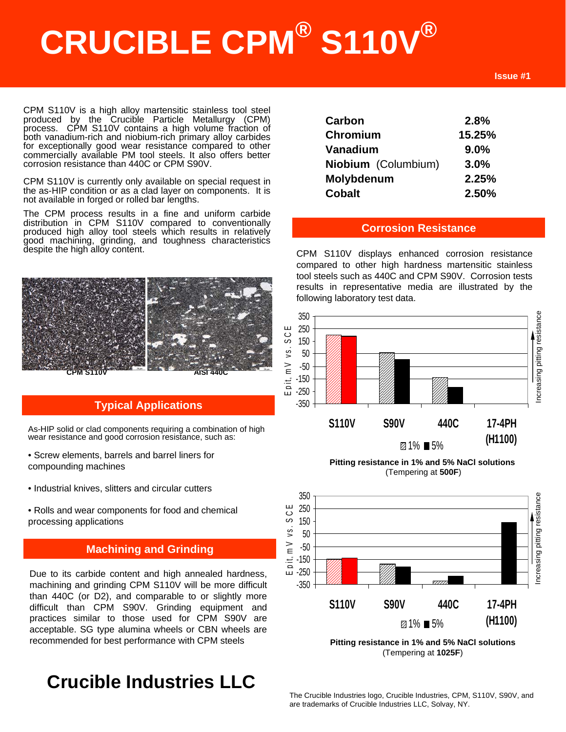# **CRUCIBLE CPM® S110V®**

CPM S110V is a high alloy martensitic stainless tool steel produced by the Crucible Particle Metallurgy (CPM) process. CPM S110V contains a high volume fraction of both vanadium-rich and niobium-rich primary alloy carbides for exceptionally good wear resistance compared to other commercially available PM tool steels. It also offers better corrosion resistance than 440C or CPM S90V.

CPM S110V is currently only available on special request in the as-HIP condition or as a clad layer on components. It is not available in forged or rolled bar lengths.

The CPM process results in a fine and uniform carbide distribution in CPM S110V compared to conventionally produced high alloy tool steels which results in relatively good machining, grinding, and toughness characteristics despite the high alloy content.



#### **Typical Applications**

As-HIP solid or clad components requiring a combination of high wear resistance and good corrosion resistance, such as:

- Screw elements, barrels and barrel liners for compounding machines
- Industrial knives, slitters and circular cutters
- Rolls and wear components for food and chemical processing applications

#### These are some *typical* applications. Your specific application should not **be undertaken without independent study and Grinding** and  $\blacksquare$

Due to its carbide content and high annealed hardness, machining and grinding CPM S110V will be more difficult than 440C (or D2), and comparable to or slightly more difficult than CPM S90V. Grinding equipment and practices similar to those used for CPM S90V are acceptable. SG type alumina wheels or CBN wheels are recommended for best performance with CPM steels

## **Crucible Industries LLC**

| Carbon              | 2.8%    |
|---------------------|---------|
| Chromium            | 15.25%  |
| Vanadium            | $9.0\%$ |
| Niobium (Columbium) | $3.0\%$ |
| Molybdenum          | 2.25%   |
| <b>Cobalt</b>       | 2.50%   |

#### **Corrosion Resistance**

CPM S110V displays enhanced corrosion resistance compared to other high hardness martensitic stainless tool steels such as 440C and CPM S90V. Corrosion tests results in representative media are illustrated by the following laboratory test data.



**Pitting resistance in 1% and 5% NaCl solutions** (Tempering at **500F**)



**Pitting resistance in 1% and 5% NaCl solutions** (Tempering at **1025F**)

The Crucible Industries logo, Crucible Industries, CPM, S110V, S90V, and are trademarks of Crucible Industries LLC, Solvay, NY.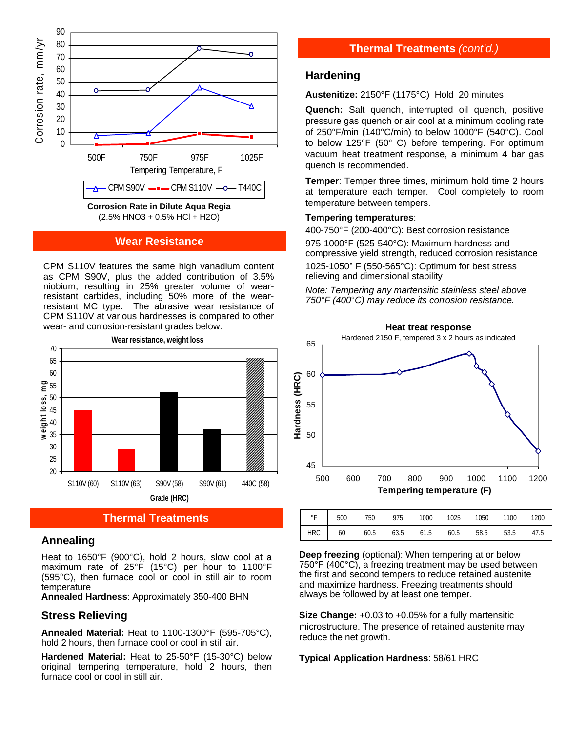

#### **Wear Resistance**

CPM S110V features the same high vanadium content as CPM S90V, plus the added contribution of 3.5% niobium, resulting in 25% greater volume of wearresistant carbides, including 50% more of the wearresistant MC type. The abrasive wear resistance of CPM S110V at various hardnesses is compared to other wear- and corrosion-resistant grades below.



#### **Thermal Treatments**

#### **Annealing**

Heat to 1650°F (900°C), hold 2 hours, slow cool at a maximum rate of 25°F (15°C) per hour to 1100°F (595°C), then furnace cool or cool in still air to room temperature

**Annealed Hardness**: Approximately 350-400 BHN

#### **Stress Relieving**

**Annealed Material:** Heat to 1100-1300°F (595-705°C), hold 2 hours, then furnace cool or cool in still air.

**Hardened Material:** Heat to 25-50°F (15-30°C) below original tempering temperature, hold 2 hours, then furnace cool or cool in still air.

#### **Thermal Treatments** *(cont'd.)*

#### **Hardening**

**Austenitize:** 2150°F (1175°C) Hold 20 minutes

**Quench:** Salt quench, interrupted oil quench, positive pressure gas quench or air cool at a minimum cooling rate of 250°F/min (140°C/min) to below 1000°F (540°C). Cool to below 125°F (50° C) before tempering. For optimum vacuum heat treatment response, a minimum 4 bar gas quench is recommended.

**Temper**: Temper three times, minimum hold time 2 hours at temperature each temper. Cool completely to room temperature between tempers.

#### **Tempering temperatures**:

400-750°F (200-400°C): Best corrosion resistance 975-1000°F (525-540°C): Maximum hardness and compressive yield strength, reduced corrosion resistance

1025-1050° F (550-565°C): Optimum for best stress relieving and dimensional stability

*Note: Tempering any martensitic stainless steel above 750°F (400*°*C) may reduce its corrosion resistance.*



| $\circ$ $\Gamma$ | 500 | 750  | 975  | 1000 | 1025 | 1050 | 1100 | 1200 |
|------------------|-----|------|------|------|------|------|------|------|
| <b>HRC</b>       | 60  | 60.5 | 63.5 | 61.5 | 60.5 | 58.5 | 53.5 | 47.5 |

**Deep freezing** (optional): When tempering at or below 750°F (400°C), a freezing treatment may be used between the first and second tempers to reduce retained austenite and maximize hardness. Freezing treatments should always be followed by at least one temper.

**Size Change:** +0.03 to +0.05% for a fully martensitic microstructure. The presence of retained austenite may reduce the net growth.

#### **Typical Application Hardness**: 58/61 HRC